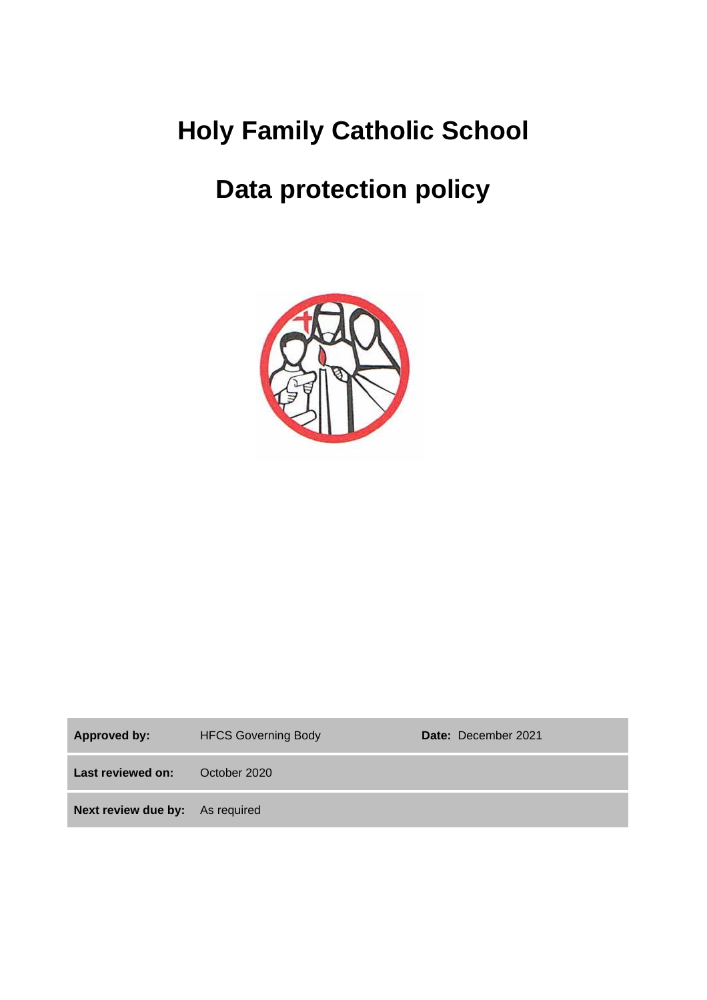# **Holy Family Catholic School**

# **Data protection policy**



| Approved by:                           | <b>HFCS Governing Body</b> | Date: December 2021 |
|----------------------------------------|----------------------------|---------------------|
| Last reviewed on:                      | October 2020               |                     |
| <b>Next review due by:</b> As required |                            |                     |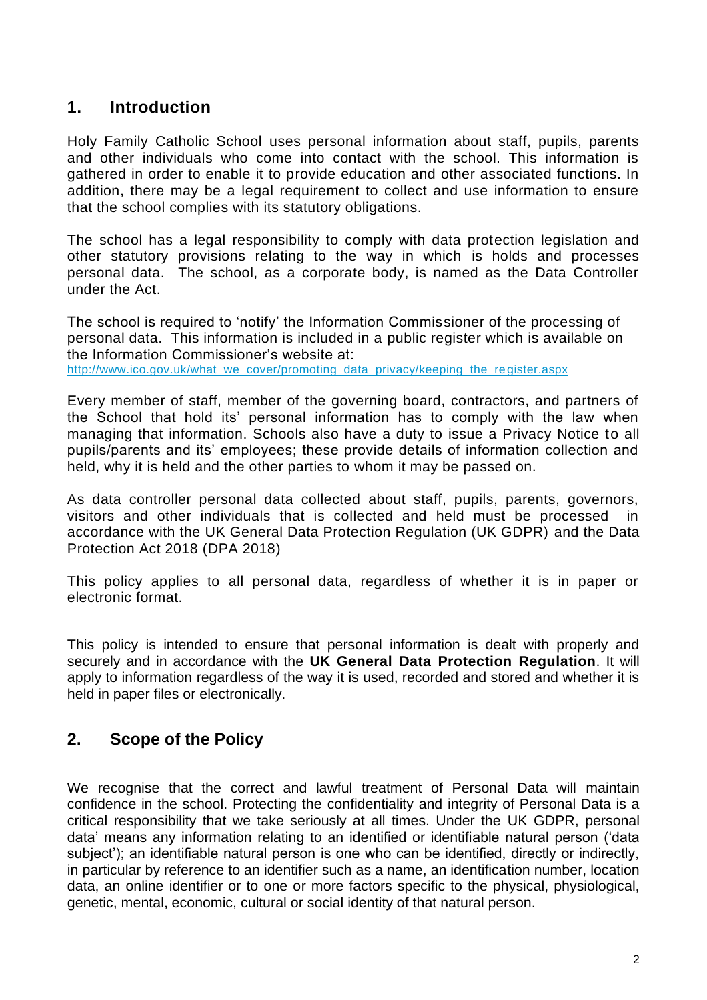### **1. Introduction**

Holy Family Catholic School uses personal information about staff, pupils, parents and other individuals who come into contact with the school. This information is gathered in order to enable it to provide education and other associated functions. In addition, there may be a legal requirement to collect and use information to ensure that the school complies with its statutory obligations.

The school has a legal responsibility to comply with data protection legislation and other statutory provisions relating to the way in which is holds and processes personal data. The school, as a corporate body, is named as the Data Controller under the Act.

The school is required to 'notify' the Information Commissioner of the processing of personal data. This information is included in a public register which is available on the Information Commissioner's website at: [http://www.ico.gov.uk/what\\_we\\_cover/promoting\\_data\\_privacy/keeping\\_the\\_register.aspx](http://www.ico.gov.uk/what_we_cover/promoting_data_privacy/keeping_the_register.aspx)

Every member of staff, member of the governing board, contractors, and partners of the School that hold its' personal information has to comply with the law when managing that information. Schools also have a duty to issue a Privacy Notice to all pupils/parents and its' employees; these provide details of information collection and held, why it is held and the other parties to whom it may be passed on.

As data controller personal data collected about staff, pupils, parents, governors, visitors and other individuals that is collected and held must be processed in accordance with the UK General Data Protection Regulation (UK GDPR) and the Data Protection Act 2018 (DPA 2018)

This policy applies to all personal data, regardless of whether it is in paper or electronic format.

This policy is intended to ensure that personal information is dealt with properly and securely and in accordance with the **UK General Data Protection Regulation**. It will apply to information regardless of the way it is used, recorded and stored and whether it is held in paper files or electronically.

## **2. Scope of the Policy**

We recognise that the correct and lawful treatment of Personal Data will maintain confidence in the school. Protecting the confidentiality and integrity of Personal Data is a critical responsibility that we take seriously at all times. Under the UK GDPR, personal data' means any information relating to an identified or identifiable natural person ('data subject'); an identifiable natural person is one who can be identified, directly or indirectly, in particular by reference to an identifier such as a name, an identification number, location data, an online identifier or to one or more factors specific to the physical, physiological, genetic, mental, economic, cultural or social identity of that natural person.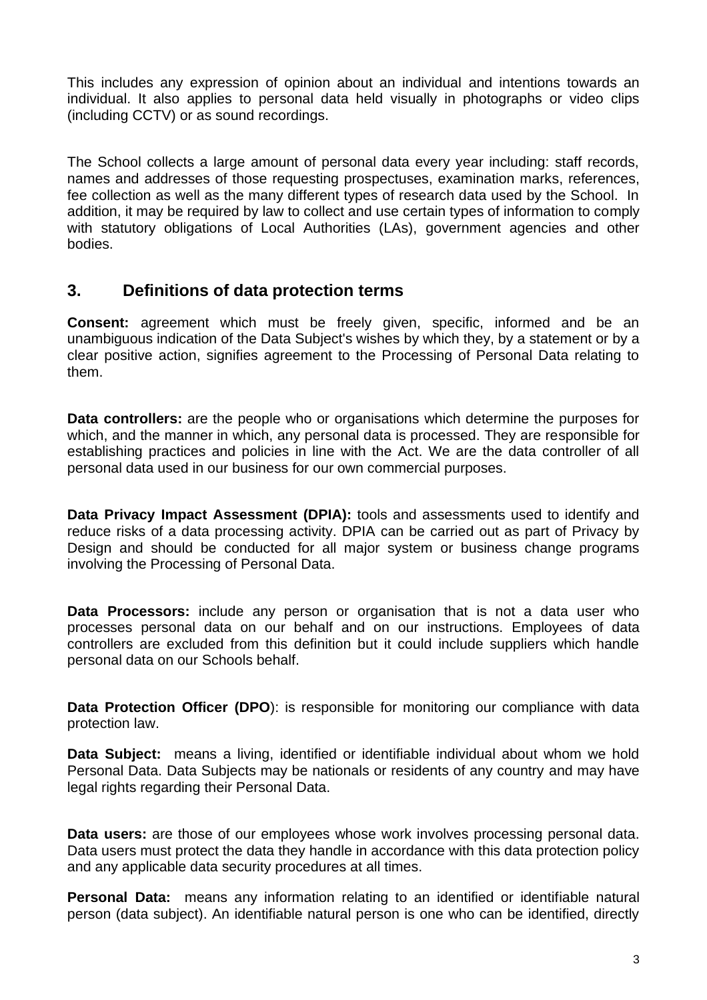This includes any expression of opinion about an individual and intentions towards an individual. It also applies to personal data held visually in photographs or video clips (including CCTV) or as sound recordings.

The School collects a large amount of personal data every year including: staff records, names and addresses of those requesting prospectuses, examination marks, references, fee collection as well as the many different types of research data used by the School. In addition, it may be required by law to collect and use certain types of information to comply with statutory obligations of Local Authorities (LAs), government agencies and other bodies.

### **3. Definitions of data protection terms**

**Consent:** agreement which must be freely given, specific, informed and be an unambiguous indication of the Data Subject's wishes by which they, by a statement or by a clear positive action, signifies agreement to the Processing of Personal Data relating to them.

**Data controllers:** are the people who or organisations which determine the purposes for which, and the manner in which, any personal data is processed. They are responsible for establishing practices and policies in line with the Act. We are the data controller of all personal data used in our business for our own commercial purposes.

**Data Privacy Impact Assessment (DPIA):** tools and assessments used to identify and reduce risks of a data processing activity. DPIA can be carried out as part of Privacy by Design and should be conducted for all major system or business change programs involving the Processing of Personal Data.

**Data Processors:** include any person or organisation that is not a data user who processes personal data on our behalf and on our instructions. Employees of data controllers are excluded from this definition but it could include suppliers which handle personal data on our Schools behalf.

**Data Protection Officer (DPO):** is responsible for monitoring our compliance with data protection law.

**Data Subject:** means a living, identified or identifiable individual about whom we hold Personal Data. Data Subjects may be nationals or residents of any country and may have legal rights regarding their Personal Data.

**Data users:** are those of our employees whose work involves processing personal data. Data users must protect the data they handle in accordance with this data protection policy and any applicable data security procedures at all times.

**Personal Data:** means any information relating to an identified or identifiable natural person (data subject). An identifiable natural person is one who can be identified, directly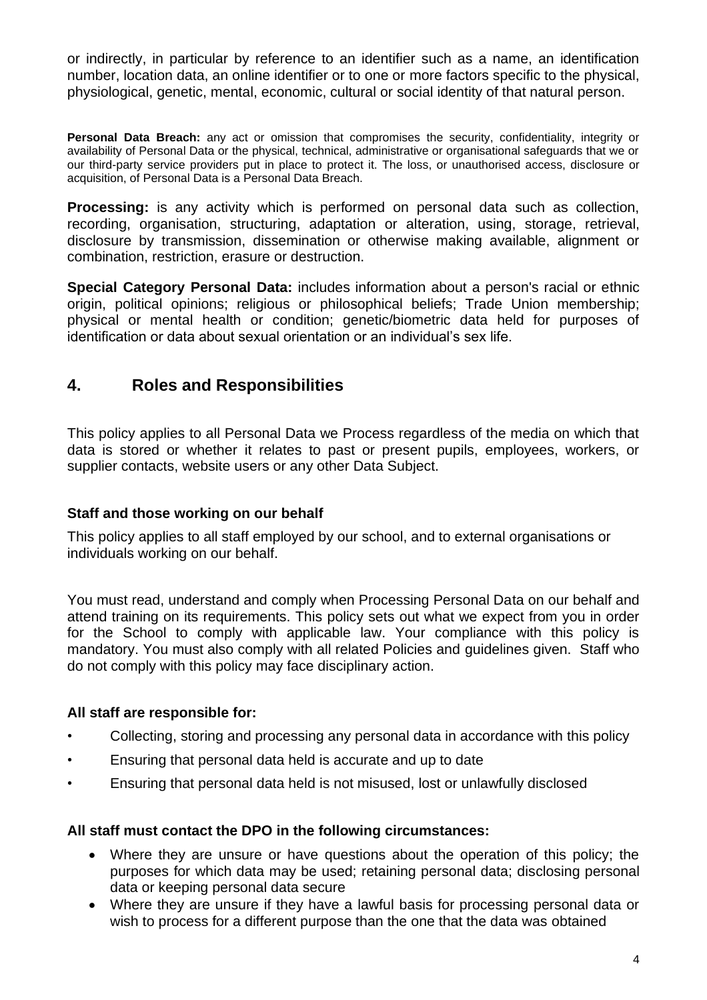or indirectly, in particular by reference to an identifier such as a name, an identification number, location data, an online identifier or to one or more factors specific to the physical, physiological, genetic, mental, economic, cultural or social identity of that natural person.

**Personal Data Breach:** any act or omission that compromises the security, confidentiality, integrity or availability of Personal Data or the physical, technical, administrative or organisational safeguards that we or our third-party service providers put in place to protect it. The loss, or unauthorised access, disclosure or acquisition, of Personal Data is a Personal Data Breach.

**Processing:** is any activity which is performed on personal data such as collection, recording, organisation, structuring, adaptation or alteration, using, storage, retrieval, disclosure by transmission, dissemination or otherwise making available, alignment or combination, restriction, erasure or destruction.

**Special Category Personal Data:** includes information about a person's racial or ethnic origin, political opinions; religious or philosophical beliefs; Trade Union membership; physical or mental health or condition; genetic/biometric data held for purposes of identification or data about sexual orientation or an individual's sex life.

## **4. Roles and Responsibilities**

This policy applies to all Personal Data we Process regardless of the media on which that data is stored or whether it relates to past or present pupils, employees, workers, or supplier contacts, website users or any other Data Subject.

#### **Staff and those working on our behalf**

This policy applies to all staff employed by our school, and to external organisations or individuals working on our behalf.

You must read, understand and comply when Processing Personal Data on our behalf and attend training on its requirements. This policy sets out what we expect from you in order for the School to comply with applicable law. Your compliance with this policy is mandatory. You must also comply with all related Policies and guidelines given. Staff who do not comply with this policy may face disciplinary action.

#### **All staff are responsible for:**

- Collecting, storing and processing any personal data in accordance with this policy
- Ensuring that personal data held is accurate and up to date
- Ensuring that personal data held is not misused, lost or unlawfully disclosed

#### **All staff must contact the DPO in the following circumstances:**

- Where they are unsure or have questions about the operation of this policy; the purposes for which data may be used; retaining personal data; disclosing personal data or keeping personal data secure
- Where they are unsure if they have a lawful basis for processing personal data or wish to process for a different purpose than the one that the data was obtained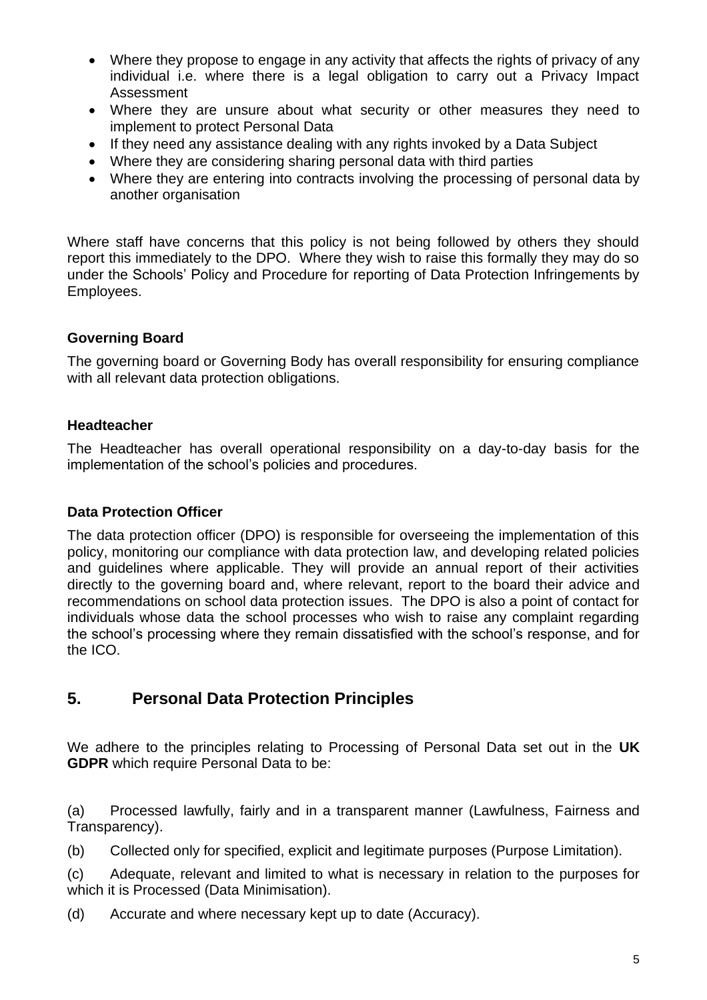- Where they propose to engage in any activity that affects the rights of privacy of any individual i.e. where there is a legal obligation to carry out a Privacy Impact Assessment
- Where they are unsure about what security or other measures they need to implement to protect Personal Data
- If they need any assistance dealing with any rights invoked by a Data Subject
- Where they are considering sharing personal data with third parties
- Where they are entering into contracts involving the processing of personal data by another organisation

Where staff have concerns that this policy is not being followed by others they should report this immediately to the DPO. Where they wish to raise this formally they may do so under the Schools' Policy and Procedure for reporting of Data Protection Infringements by Employees.

#### **Governing Board**

The governing board or Governing Body has overall responsibility for ensuring compliance with all relevant data protection obligations.

#### **Headteacher**

The Headteacher has overall operational responsibility on a day-to-day basis for the implementation of the school's policies and procedures.

#### **Data Protection Officer**

The data protection officer (DPO) is responsible for overseeing the implementation of this policy, monitoring our compliance with data protection law, and developing related policies and guidelines where applicable. They will provide an annual report of their activities directly to the governing board and, where relevant, report to the board their advice and recommendations on school data protection issues. The DPO is also a point of contact for individuals whose data the school processes who wish to raise any complaint regarding the school's processing where they remain dissatisfied with the school's response, and for the ICO.

## **5. Personal Data Protection Principles**

We adhere to the principles relating to Processing of Personal Data set out in the **UK GDPR** which require Personal Data to be:

(a) Processed lawfully, fairly and in a transparent manner (Lawfulness, Fairness and Transparency).

(b) Collected only for specified, explicit and legitimate purposes (Purpose Limitation).

(c) Adequate, relevant and limited to what is necessary in relation to the purposes for which it is Processed (Data Minimisation).

(d) Accurate and where necessary kept up to date (Accuracy).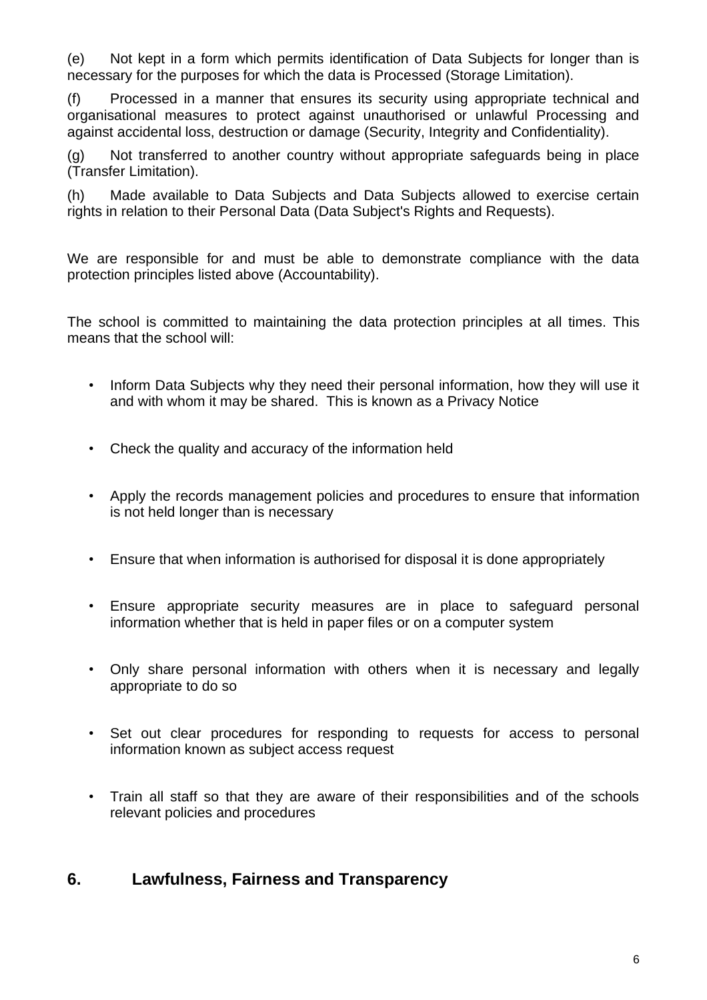(e) Not kept in a form which permits identification of Data Subjects for longer than is necessary for the purposes for which the data is Processed (Storage Limitation).

(f) Processed in a manner that ensures its security using appropriate technical and organisational measures to protect against unauthorised or unlawful Processing and against accidental loss, destruction or damage (Security, Integrity and Confidentiality).

(g) Not transferred to another country without appropriate safeguards being in place (Transfer Limitation).

(h) Made available to Data Subjects and Data Subjects allowed to exercise certain rights in relation to their Personal Data (Data Subject's Rights and Requests).

We are responsible for and must be able to demonstrate compliance with the data protection principles listed above (Accountability).

The school is committed to maintaining the data protection principles at all times. This means that the school will:

- Inform Data Subjects why they need their personal information, how they will use it and with whom it may be shared. This is known as a Privacy Notice
- Check the quality and accuracy of the information held
- Apply the records management policies and procedures to ensure that information is not held longer than is necessary
- Ensure that when information is authorised for disposal it is done appropriately
- Ensure appropriate security measures are in place to safeguard personal information whether that is held in paper files or on a computer system
- Only share personal information with others when it is necessary and legally appropriate to do so
- Set out clear procedures for responding to requests for access to personal information known as subject access request
- Train all staff so that they are aware of their responsibilities and of the schools relevant policies and procedures

### **6. Lawfulness, Fairness and Transparency**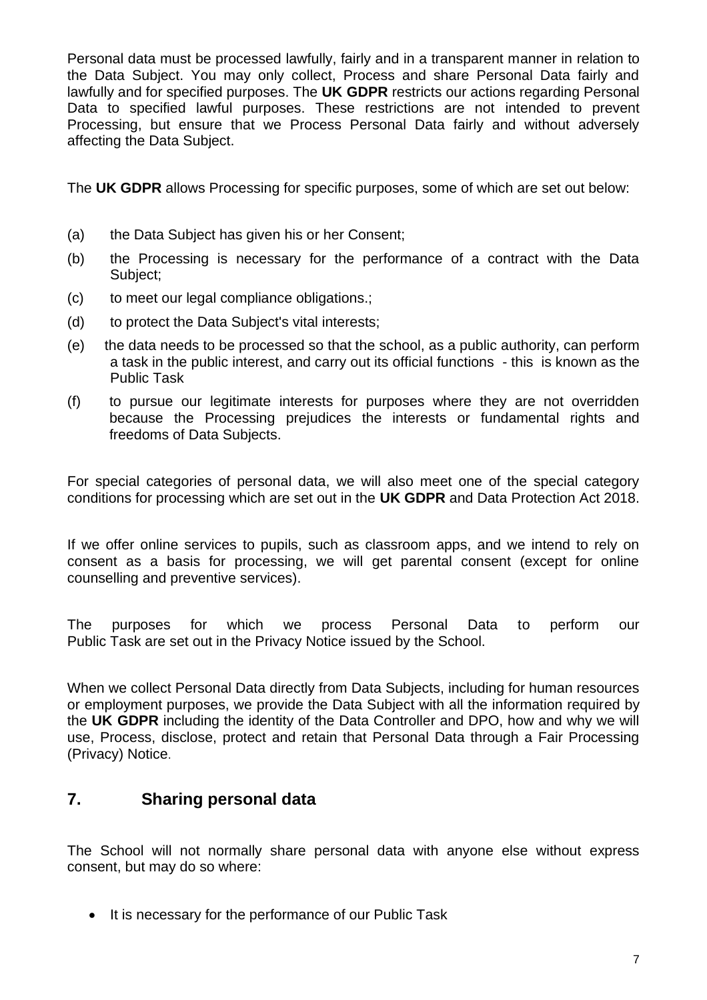Personal data must be processed lawfully, fairly and in a transparent manner in relation to the Data Subject. You may only collect, Process and share Personal Data fairly and lawfully and for specified purposes. The **UK GDPR** restricts our actions regarding Personal Data to specified lawful purposes. These restrictions are not intended to prevent Processing, but ensure that we Process Personal Data fairly and without adversely affecting the Data Subject.

The **UK GDPR** allows Processing for specific purposes, some of which are set out below:

- (a) the Data Subject has given his or her Consent;
- (b) the Processing is necessary for the performance of a contract with the Data Subject;
- (c) to meet our legal compliance obligations.;
- (d) to protect the Data Subject's vital interests;
- (e) the data needs to be processed so that the school, as a public authority, can perform a task in the public interest, and carry out its official functions - this is known as the Public Task
- (f) to pursue our legitimate interests for purposes where they are not overridden because the Processing prejudices the interests or fundamental rights and freedoms of Data Subjects.

For special categories of personal data, we will also meet one of the special category conditions for processing which are set out in the **UK GDPR** and Data Protection Act 2018.

If we offer online services to pupils, such as classroom apps, and we intend to rely on consent as a basis for processing, we will get parental consent (except for online counselling and preventive services).

The purposes for which we process Personal Data to perform our Public Task are set out in the Privacy Notice issued by the School.

When we collect Personal Data directly from Data Subjects, including for human resources or employment purposes, we provide the Data Subject with all the information required by the **UK GDPR** including the identity of the Data Controller and DPO, how and why we will use, Process, disclose, protect and retain that Personal Data through a Fair Processing (Privacy) Notice.

### **7. Sharing personal data**

The School will not normally share personal data with anyone else without express consent, but may do so where:

• It is necessary for the performance of our Public Task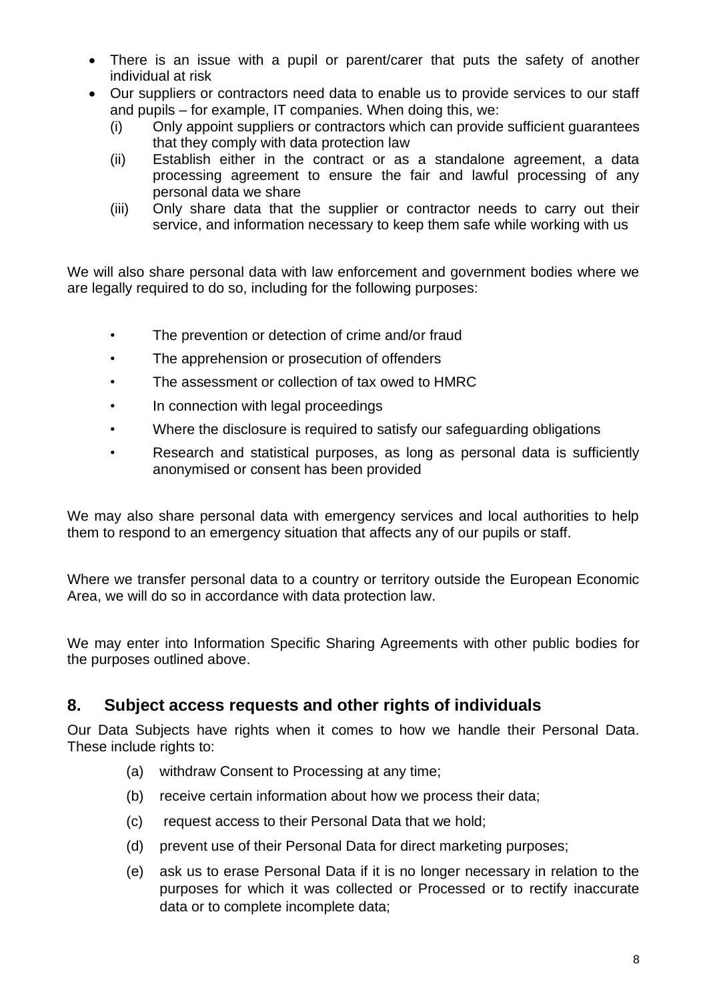- There is an issue with a pupil or parent/carer that puts the safety of another individual at risk
- Our suppliers or contractors need data to enable us to provide services to our staff and pupils – for example, IT companies. When doing this, we:
	- (i) Only appoint suppliers or contractors which can provide sufficient guarantees that they comply with data protection law
	- (ii) Establish either in the contract or as a standalone agreement, a data processing agreement to ensure the fair and lawful processing of any personal data we share
	- (iii) Only share data that the supplier or contractor needs to carry out their service, and information necessary to keep them safe while working with us

We will also share personal data with law enforcement and government bodies where we are legally required to do so, including for the following purposes:

- The prevention or detection of crime and/or fraud
- The apprehension or prosecution of offenders
- The assessment or collection of tax owed to HMRC
- In connection with legal proceedings
- Where the disclosure is required to satisfy our safeguarding obligations
- Research and statistical purposes, as long as personal data is sufficiently anonymised or consent has been provided

We may also share personal data with emergency services and local authorities to help them to respond to an emergency situation that affects any of our pupils or staff.

Where we transfer personal data to a country or territory outside the European Economic Area, we will do so in accordance with data protection law.

We may enter into Information Specific Sharing Agreements with other public bodies for the purposes outlined above.

### **8. Subject access requests and other rights of individuals**

Our Data Subjects have rights when it comes to how we handle their Personal Data. These include rights to:

- (a) withdraw Consent to Processing at any time;
- (b) receive certain information about how we process their data;
- (c) request access to their Personal Data that we hold;
- (d) prevent use of their Personal Data for direct marketing purposes;
- (e) ask us to erase Personal Data if it is no longer necessary in relation to the purposes for which it was collected or Processed or to rectify inaccurate data or to complete incomplete data;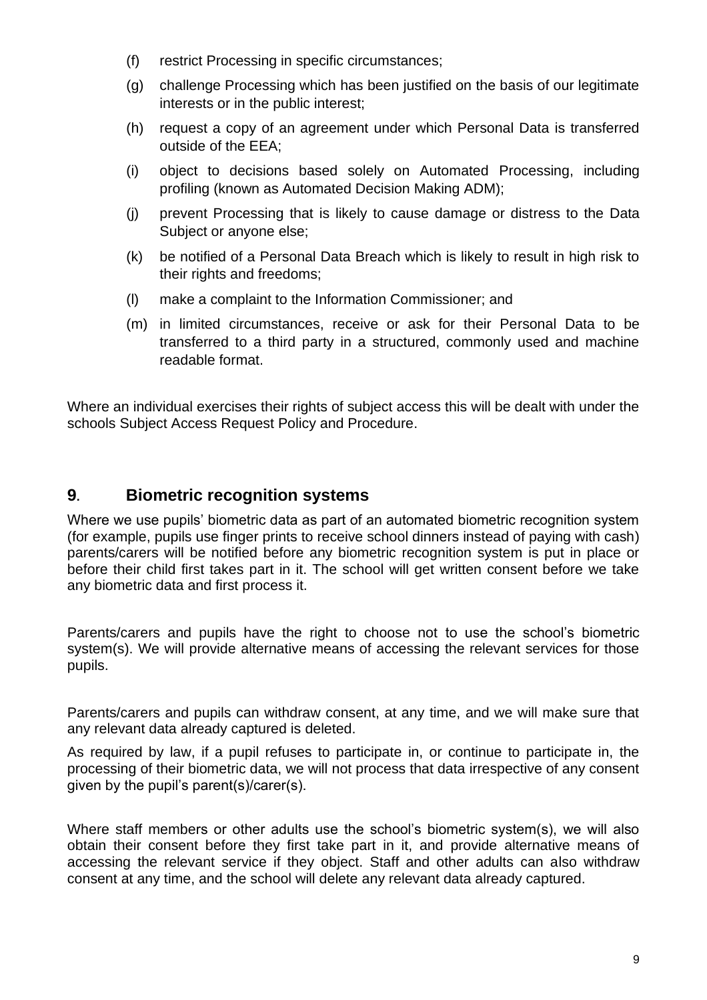- (f) restrict Processing in specific circumstances;
- (g) challenge Processing which has been justified on the basis of our legitimate interests or in the public interest;
- (h) request a copy of an agreement under which Personal Data is transferred outside of the EEA;
- (i) object to decisions based solely on Automated Processing, including profiling (known as Automated Decision Making ADM);
- (j) prevent Processing that is likely to cause damage or distress to the Data Subject or anyone else;
- (k) be notified of a Personal Data Breach which is likely to result in high risk to their rights and freedoms;
- (l) make a complaint to the Information Commissioner; and
- (m) in limited circumstances, receive or ask for their Personal Data to be transferred to a third party in a structured, commonly used and machine readable format.

Where an individual exercises their rights of subject access this will be dealt with under the schools Subject Access Request Policy and Procedure.

#### **9. Biometric recognition systems**

Where we use pupils' biometric data as part of an automated biometric recognition system (for example, pupils use finger prints to receive school dinners instead of paying with cash) parents/carers will be notified before any biometric recognition system is put in place or before their child first takes part in it. The school will get written consent before we take any biometric data and first process it.

Parents/carers and pupils have the right to choose not to use the school's biometric system(s). We will provide alternative means of accessing the relevant services for those pupils.

Parents/carers and pupils can withdraw consent, at any time, and we will make sure that any relevant data already captured is deleted.

As required by law, if a pupil refuses to participate in, or continue to participate in, the processing of their biometric data, we will not process that data irrespective of any consent given by the pupil's parent(s)/carer(s).

Where staff members or other adults use the school's biometric system(s), we will also obtain their consent before they first take part in it, and provide alternative means of accessing the relevant service if they object. Staff and other adults can also withdraw consent at any time, and the school will delete any relevant data already captured.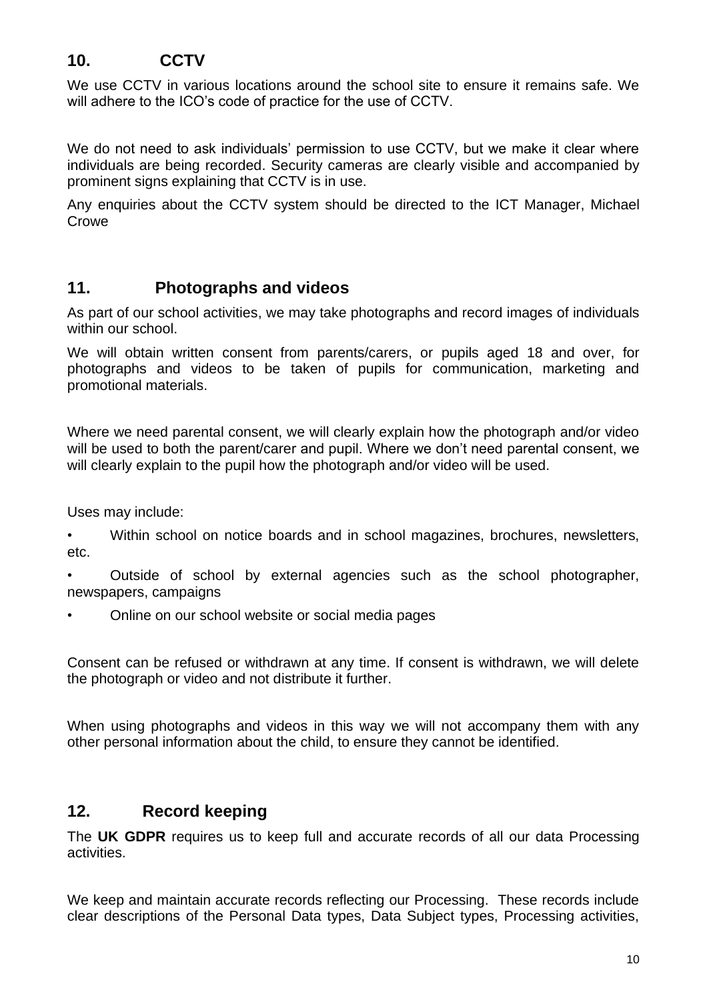## **10. CCTV**

We use CCTV in various locations around the school site to ensure it remains safe. We will adhere to the ICO's code of practice for the use of CCTV.

We do not need to ask individuals' permission to use CCTV, but we make it clear where individuals are being recorded. Security cameras are clearly visible and accompanied by prominent signs explaining that CCTV is in use.

Any enquiries about the CCTV system should be directed to the ICT Manager, Michael Crowe

#### **11. Photographs and videos**

As part of our school activities, we may take photographs and record images of individuals within our school.

We will obtain written consent from parents/carers, or pupils aged 18 and over, for photographs and videos to be taken of pupils for communication, marketing and promotional materials.

Where we need parental consent, we will clearly explain how the photograph and/or video will be used to both the parent/carer and pupil. Where we don't need parental consent, we will clearly explain to the pupil how the photograph and/or video will be used.

Uses may include:

• Within school on notice boards and in school magazines, brochures, newsletters, etc.

• Outside of school by external agencies such as the school photographer, newspapers, campaigns

• Online on our school website or social media pages

Consent can be refused or withdrawn at any time. If consent is withdrawn, we will delete the photograph or video and not distribute it further.

When using photographs and videos in this way we will not accompany them with any other personal information about the child, to ensure they cannot be identified.

### **12. Record keeping**

The **UK GDPR** requires us to keep full and accurate records of all our data Processing activities.

We keep and maintain accurate records reflecting our Processing. These records include clear descriptions of the Personal Data types, Data Subject types, Processing activities,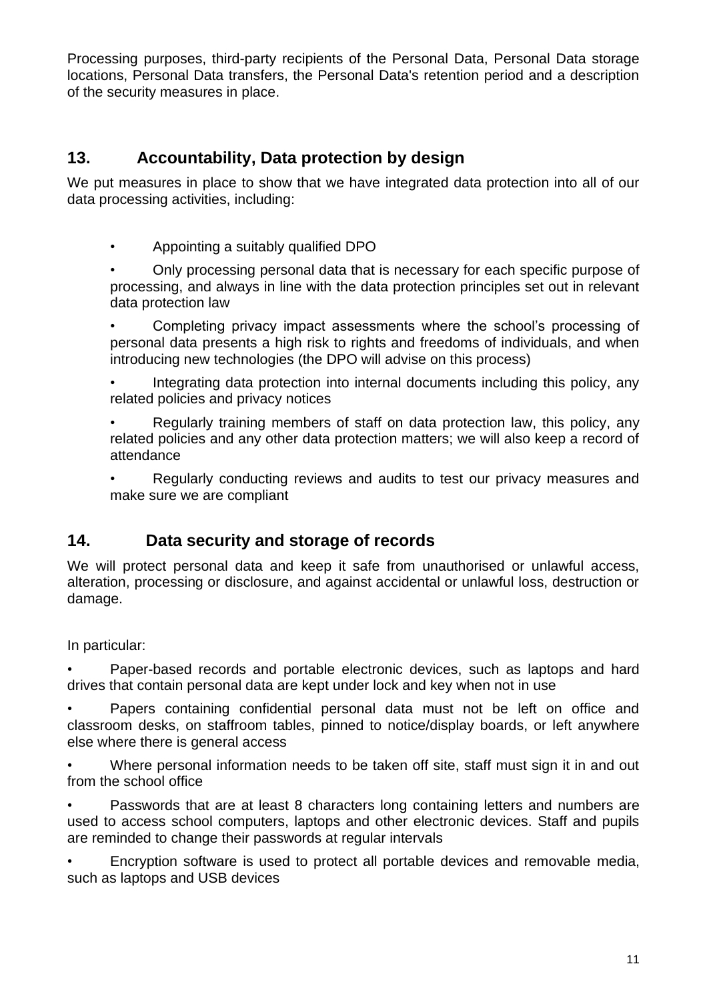Processing purposes, third-party recipients of the Personal Data, Personal Data storage locations, Personal Data transfers, the Personal Data's retention period and a description of the security measures in place.

## **13. Accountability, Data protection by design**

We put measures in place to show that we have integrated data protection into all of our data processing activities, including:

• Appointing a suitably qualified DPO

• Only processing personal data that is necessary for each specific purpose of processing, and always in line with the data protection principles set out in relevant data protection law

• Completing privacy impact assessments where the school's processing of personal data presents a high risk to rights and freedoms of individuals, and when introducing new technologies (the DPO will advise on this process)

• Integrating data protection into internal documents including this policy, any related policies and privacy notices

• Regularly training members of staff on data protection law, this policy, any related policies and any other data protection matters; we will also keep a record of attendance

• Regularly conducting reviews and audits to test our privacy measures and make sure we are compliant

### **14. Data security and storage of records**

We will protect personal data and keep it safe from unauthorised or unlawful access, alteration, processing or disclosure, and against accidental or unlawful loss, destruction or damage.

In particular:

• Paper-based records and portable electronic devices, such as laptops and hard drives that contain personal data are kept under lock and key when not in use

• Papers containing confidential personal data must not be left on office and classroom desks, on staffroom tables, pinned to notice/display boards, or left anywhere else where there is general access

• Where personal information needs to be taken off site, staff must sign it in and out from the school office

• Passwords that are at least 8 characters long containing letters and numbers are used to access school computers, laptops and other electronic devices. Staff and pupils are reminded to change their passwords at regular intervals

• Encryption software is used to protect all portable devices and removable media, such as laptops and USB devices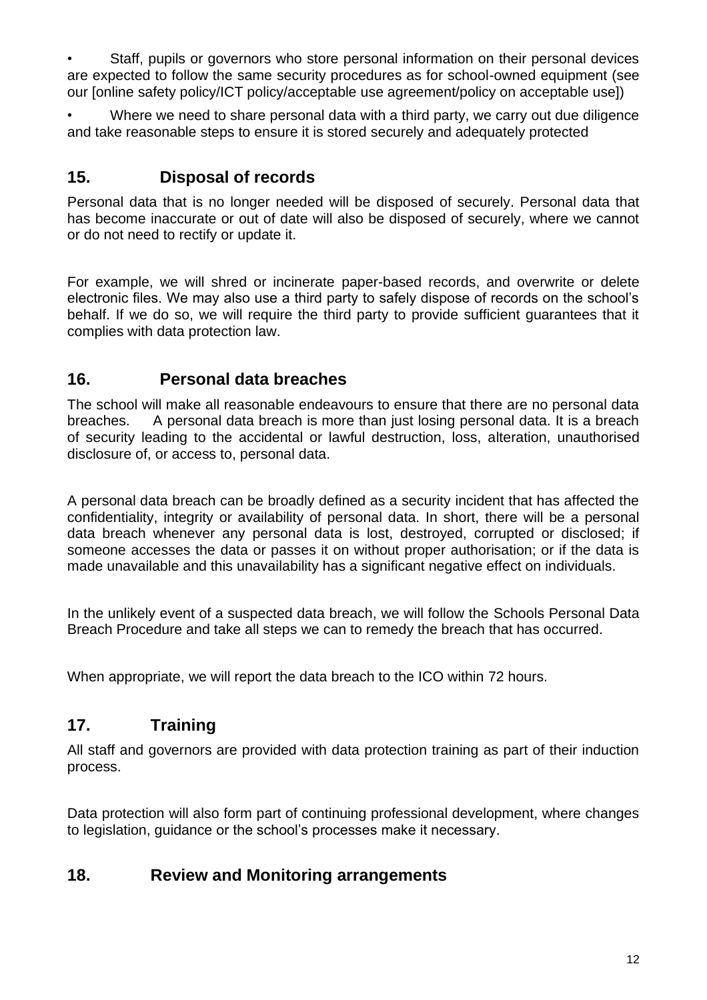• Staff, pupils or governors who store personal information on their personal devices are expected to follow the same security procedures as for school-owned equipment (see our [online safety policy/ICT policy/acceptable use agreement/policy on acceptable use])

• Where we need to share personal data with a third party, we carry out due diligence and take reasonable steps to ensure it is stored securely and adequately protected

## **15. Disposal of records**

Personal data that is no longer needed will be disposed of securely. Personal data that has become inaccurate or out of date will also be disposed of securely, where we cannot or do not need to rectify or update it.

For example, we will shred or incinerate paper-based records, and overwrite or delete electronic files. We may also use a third party to safely dispose of records on the school's behalf. If we do so, we will require the third party to provide sufficient guarantees that it complies with data protection law.

### **16. Personal data breaches**

The school will make all reasonable endeavours to ensure that there are no personal data breaches. A personal data breach is more than just losing personal data. It is a breach of security leading to the accidental or lawful destruction, loss, alteration, unauthorised disclosure of, or access to, personal data.

A personal data breach can be broadly defined as a security incident that has affected the confidentiality, integrity or availability of personal data. In short, there will be a personal data breach whenever any personal data is lost, destroyed, corrupted or disclosed; if someone accesses the data or passes it on without proper authorisation; or if the data is made unavailable and this unavailability has a significant negative effect on individuals.

In the unlikely event of a suspected data breach, we will follow the Schools Personal Data Breach Procedure and take all steps we can to remedy the breach that has occurred.

When appropriate, we will report the data breach to the ICO within 72 hours.

### **17. Training**

All staff and governors are provided with data protection training as part of their induction process.

Data protection will also form part of continuing professional development, where changes to legislation, guidance or the school's processes make it necessary.

### **18. Review and Monitoring arrangements**